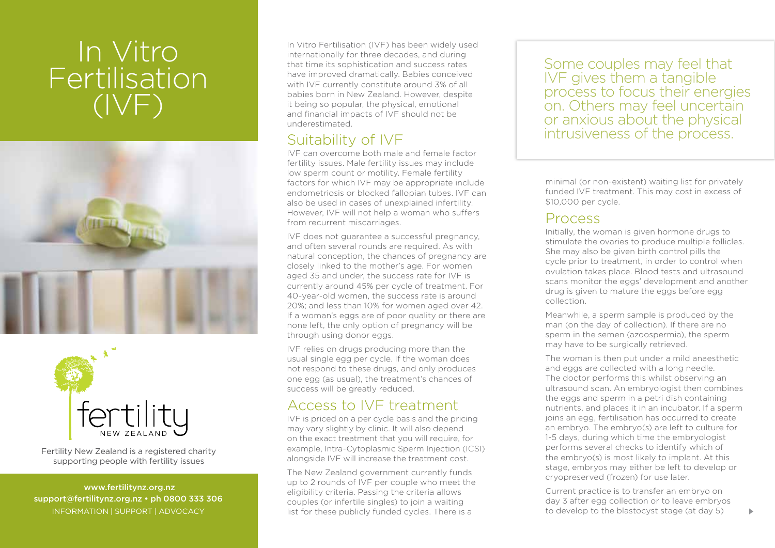# In Vitro Fertilisation (IVF)





Fertility New Zealand is a registered charity supporting people with fertility issues

 www.fertilitynz.org.nz support@fertilitynz.org.nz • ph 0800 333 306 information | support | advocacy

In Vitro Fertilisation (IVF) has been widely used internationally for three decades, and during that time its sophistication and success rates have improved dramatically. Babies conceived with IVF currently constitute around 3% of all babies born in New Zealand. However, despite it being so popular, the physical, emotional and financial impacts of IVF should not be underestimated.

### Suitability of IVF

IVF can overcome both male and female factor fertility issues. Male fertility issues may include low sperm count or motility. Female fertility factors for which IVF may be appropriate include endometriosis or blocked fallopian tubes. IVF can also be used in cases of unexplained infertility. However, IVF will not help a woman who suffers from recurrent miscarriages.

IVF does not guarantee a successful pregnancy, and often several rounds are required. As with natural conception, the chances of pregnancy are closely linked to the mother's age. For women aged 35 and under, the success rate for IVF is currently around 45% per cycle of treatment. For 40-year-old women, the success rate is around 20%; and less than 10% for women aged over 42. If a woman's eggs are of poor quality or there are none left, the only option of pregnancy will be through using donor eggs.

IVF relies on drugs producing more than the usual single egg per cycle. If the woman does not respond to these drugs, and only produces one egg (as usual), the treatment's chances of success will be greatly reduced.

## Access to IVF treatment

IVF is priced on a per cycle basis and the pricing may vary slightly by clinic. It will also depend on the exact treatment that you will require, for example, Intra-Cytoplasmic Sperm Injection (ICSI) alongside IVF will increase the treatment cost.

The New Zealand government currently funds up to 2 rounds of IVF per couple who meet the eligibility criteria. Passing the criteria allows couples (or infertile singles) to join a waiting list for these publicly funded cycles. There is a

Some couples may feel that IVF gives them a tangible process to focus their energies on. Others may feel uncertain or anxious about the physical intrusiveness of the process.

minimal (or non-existent) waiting list for privately funded IVF treatment. This may cost in excess of \$10,000 per cycle.

#### Process

Initially, the woman is given hormone drugs to stimulate the ovaries to produce multiple follicles. She may also be given birth control pills the cycle prior to treatment, in order to control when ovulation takes place. Blood tests and ultrasound scans monitor the eggs' development and another drug is given to mature the eggs before egg collection.

Meanwhile, a sperm sample is produced by the man (on the day of collection). If there are no sperm in the semen (azoospermia), the sperm may have to be surgically retrieved.

The woman is then put under a mild anaesthetic and eggs are collected with a long needle. The doctor performs this whilst observing an ultrasound scan. An embryologist then combines the eggs and sperm in a petri dish containing nutrients, and places it in an incubator. If a sperm joins an egg, fertilisation has occurred to create an embryo. The embryo(s) are left to culture for 1-5 days, during which time the embryologist performs several checks to identify which of the embryo(s) is most likely to implant. At this stage, embryos may either be left to develop or cryopreserved (frozen) for use later.

Current practice is to transfer an embryo on day 3 after egg collection or to leave embryos to develop to the blastocyst stage (at day 5)

 $\blacktriangleright$